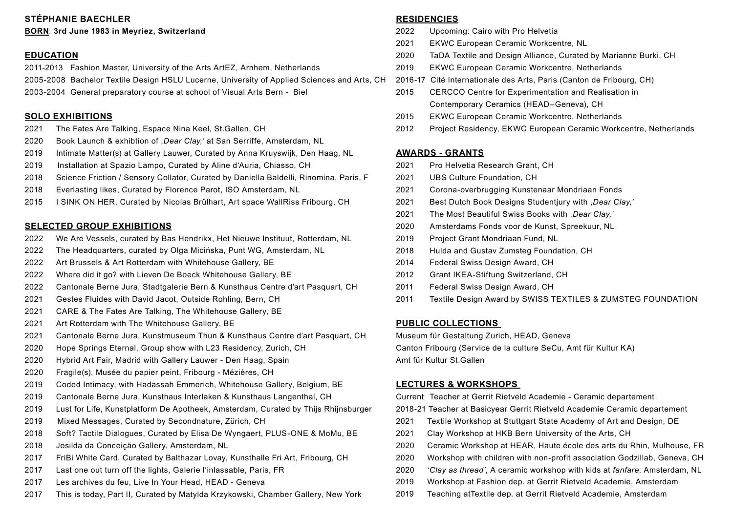# **STÉPHANIE BAECHLER**

#### **BORN**: **3rd June 1983 in Meyriez, Switzerland**

### **EDUCATION**

2011-2013 Fashion Master, University of the Arts ArtEZ, Arnhem, Netherlands 2005-2008 Bachelor Textile Design HSLU Lucerne, University of Applied Sciences and Arts, CH 2016-17 Cité Internationale des Arts, Paris (Canton de Fribourg, CH) 2003-2004 General preparatory course at school of Visual Arts Bern - Biel

### **SOLO EXHIBITIONS**

- 2021 The Fates Are Talking, Espace Nina Keel, St.Gallen, CH
- 2020 Book Launch & exhibtion of ,*Dear Clay,'* at San Serriffe, Amsterdam, NL
- 2019 Intimate Matter(s) at Gallery Lauwer, Curated by Anna Kruyswijk, Den Haag, NL
- 2019 Installation at Spazio Lampo, Curated by Aline d'Auria, Chiasso, CH
- 2018 Science Friction / Sensory Collator, Curated by Daniella Baldelli, Rinomina, Paris, F
- 2018 Everlasting likes, Curated by Florence Parot, ISO Amsterdam, NL
- 2015 I SINK ON HER, Curated by Nicolas Brülhart, Art space WallRiss Fribourg, CH

### **SELECTED GROUP EXHIBITIONS**

- 2022 We Are Vessels, curated by Bas Hendrikx, Het Nieuwe Instituut, Rotterdam, NL
- 2022 The Headquarters, curated by Olga Micińska, Punt WG, Amsterdam, NL
- 2022 Art Brussels & Art Rotterdam with Whitehouse Gallery, BE
- 2022 Where did it go? with Lieven De Boeck Whitehouse Gallery, BE
- 2022 Cantonale Berne Jura, Stadtgalerie Bern & Kunsthaus Centre d'art Pasquart, CH
- 2021 Gestes Fluides with David Jacot, Outside Rohling, Bern, CH
- 2021 CARE & The Fates Are Talking, The Whitehouse Gallery, BE
- 2021 Art Rotterdam with The Whitehouse Gallery, BE
- 2021 Cantonale Berne Jura, Kunstmuseum Thun & Kunsthaus Centre d'art Pasquart, CH
- 2020 Hope Springs Eternal, Group show with L23 Residency, Zurich, CH
- 2020 Hybrid Art Fair, Madrid with Gallery Lauwer Den Haag, Spain
- 2020 Fragile(s), Musée du papier peint, Fribourg Mézières, CH
- 2019 Coded Intimacy, with Hadassah Emmerich, Whitehouse Gallery, Belgium, BE
- 2019 Cantonale Berne Jura, Kunsthaus Interlaken & Kunsthaus Langenthal, CH
- 2019 Lust for Life, Kunstplatform De Apotheek, Amsterdam, Curated by Thijs Rhijnsburger
- 2019 Mixed Messages, Curated by Secondnature, Zürich, CH
- 2018 Soft? Tactile Dialogues, Curated by Elisa De Wyngaert, PLUS-ONE & MoMu, BE
- 2018 Josilda da Conceição Gallery, Amsterdam, NL
- 2017 FriBi White Card, Curated by Balthazar Lovay, Kunsthalle Fri Art, Fribourg, CH
- 2017 Last one out turn off the lights, Galerie l'inlassable, Paris, FR
- 2017 Les archives du feu, Live In Your Head, HEAD Geneva
- 2017 This is today, Part II, Curated by Matylda Krzykowski, Chamber Gallery, New York

#### **RESIDENCIES**

- 2022 Upcoming: Cairo with Pro Helvetia
- 2021 EKWC European Ceramic Workcentre, NL
- 2020 TaDA Textile and Design Alliance, Curated by Marianne Burki, CH
- 2019 EKWC European Ceramic Workcentre, Netherlands
- 
- 2015 CERCCO Centre for Experimentation and Realisation in Contemporary Ceramics (HEAD–Geneva), CH
- 2015 EKWC European Ceramic Workcentre, Netherlands
- 2012 Project Residency, EKWC European Ceramic Workcentre, Netherlands

## **AWARDS - GRANTS**

- 2021 Pro Helvetia Research Grant, CH
- 2021 UBS Culture Foundation, CH
- 2021 Corona-overbrugging Kunstenaar Mondriaan Fonds
- 2021 Best Dutch Book Designs Studentjury with ,*Dear Clay,'*
- 2021 The Most Beautiful Swiss Books with ,*Dear Clay,'*
- 2020 Amsterdams Fonds voor de Kunst, Spreekuur, NL
- 2019 Project Grant Mondriaan Fund, NL
- 2018 Hulda and Gustav Zumsteg Foundation, CH
- 2014 Federal Swiss Design Award, CH
- 2012 Grant IKEA-Stiftung Switzerland, CH
- 2011 Federal Swiss Design Award, CH
- 2011 Textile Design Award by SWISS TEXTILES & ZUMSTEG FOUNDATION

### **PUBLIC COLLECTIONS**

Museum für Gestaltung Zurich, HEAD, Geneva Canton Fribourg (Service de la culture SeCu, Amt für Kultur KA) Amt für Kultur St.Gallen

## **LECTURES & WORKSHOPS**

Current Teacher at Gerrit Rietveld Academie - Ceramic departement

2018-21 Teacher at Basicyear Gerrit Rietveld Academie Ceramic departement

- 2021 Textile Workshop at Stuttgart State Academy of Art and Design, DE
- 2021 Clay Workshop at HKB Bern University of the Arts, CH
- 2020 Ceramic Workshop at HEAR, Haute école des arts du Rhin, Mulhouse, FR
- 2020 Workshop with children with non-profit association Godzillab, Geneva, CH
- 2020 *'Clay as thread'*, A ceramic workshop with kids at *fanfare*, Amsterdam, NL
- 2019 Workshop at Fashion dep. at Gerrit Rietveld Academie, Amsterdam
- 2019 Teaching atTextile dep. at Gerrit Rietveld Academie, Amsterdam